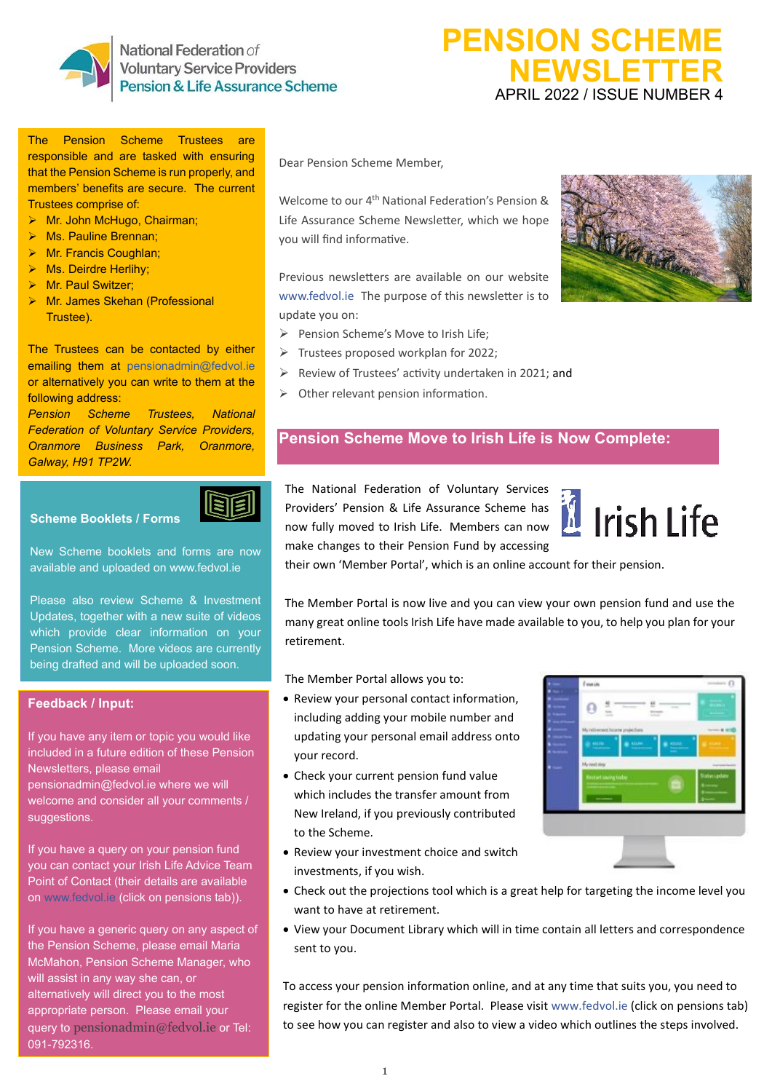

National Federation of **Voluntary Service Providers** Pension & Life Assurance Scheme

# **PENSION SCHEME NEWSLETTER** APRIL 2022 / ISSUE NUMBER 4

The Pension Scheme Trustees are responsible and are tasked with ensuring that the Pension Scheme is run properly, and members' benefits are secure. The current Trustees comprise of:

- ➢ Mr. John McHugo, Chairman;
- ➢ Ms. Pauline Brennan;
- ➢ Mr. Francis Coughlan;
- ➢ Ms. Deirdre Herlihy;
- ➢ Mr. Paul Switzer;
- ➢ Mr. James Skehan (Professional Trustee).

The Trustees can be contacted by either emailing them at [pensionadmin@fedvol.ie](mailto:pensionadmin@fedvol.ie) or alternatively you can write to them at the following address:

*Pension Scheme Trustees, National Federation of Voluntary Service Providers, Oranmore Business Park, Oranmore, Galway, H91 TP2W.*



**Scheme Booklets / Forms** 

New Scheme booklets and forms are now available and uploaded o[n www.fedvol.ie](http://www.fedvol.ie/)

Please also review Scheme & Investment Updates, together with a new suite of videos which provide clear information on your Pension Scheme. More videos are currently being drafted and will be uploaded soon.

## **Feedback / Input:**

If you have any item or topic you would like included in a future edition of these Pension Newsletters, please email [pensionadmin@fedvol.ie](mailto:pensionadmin@fedvol.ie) where we will welcome and consider all your comments / suggestions.

If you have a query on your pension fund you can contact your Irish Life Advice Team Point of Contact (their details are available on [www.fedvol.ie](http://www.fedvol.ie/) (click on pensions tab)).

If you have a generic query on any aspect of the Pension Scheme, please email Maria McMahon, Pension Scheme Manager, who will assist in any way she can, or alternatively will direct you to the most appropriate person. Please email your query to [pensionadmin@fedvol.ie](mailto:pensionadmin@fedvol.ie) or Tel: 091-792316.

Dear Pension Scheme Member,

Welcome to our 4<sup>th</sup> National Federation's Pension & Life Assurance Scheme Newsletter, which we hope you will find informative.

Previous newsletters are available on our website [www.fedvol.ie](http://www.fedvol.ie/) The purpose of this newsletter is to update you on:

- ➢ Pension Scheme's Move to Irish Life;
- ➢ Trustees proposed workplan for 2022;
- ➢ Review of Trustees' activity undertaken in 2021; and
- ➢ Other relevant pension information.

# **Pension Scheme Move to Irish Life is Now Complete:**

The National Federation of Voluntary Services Providers' Pension & Life Assurance Scheme has now fully moved to Irish Life. Members can now make changes to their Pension Fund by accessing



their own 'Member Portal', which is an online account for their pension.

The Member Portal is now live and you can view your own pension fund and use the many great online tools Irish Life have made available to you, to help you plan for your retirement.

The Member Portal allows you to:

- Review your personal contact information, including adding your mobile number and updating your personal email address onto your record.
- Check your current pension fund value which includes the transfer amount from New Ireland, if you previously contributed to the Scheme.
- Review your investment choice and switch investments, if you wish.

|  | Fourier                                             |               |
|--|-----------------------------------------------------|---------------|
|  |                                                     |               |
|  | My retirement income projections                    |               |
|  | aune.<br><b>B</b> GLOS<br><b>MAILEE</b><br>٠<br>--- |               |
|  | My rest dep                                         |               |
|  | thistart saving today                               | Status spoker |
|  |                                                     |               |
|  |                                                     |               |
|  |                                                     |               |
|  |                                                     |               |

- Check out the projections tool which is a great help for targeting the income level you want to have at retirement.
- View your Document Library which will in time contain all letters and correspondence sent to you.

To access your pension information online, and at any time that suits you, you need to register for the online Member Portal. Please visit [www.fedvol.ie](http://www.fedvol.ie/) (click on pensions tab) to see how you can register and also to view a video which outlines the steps involved.

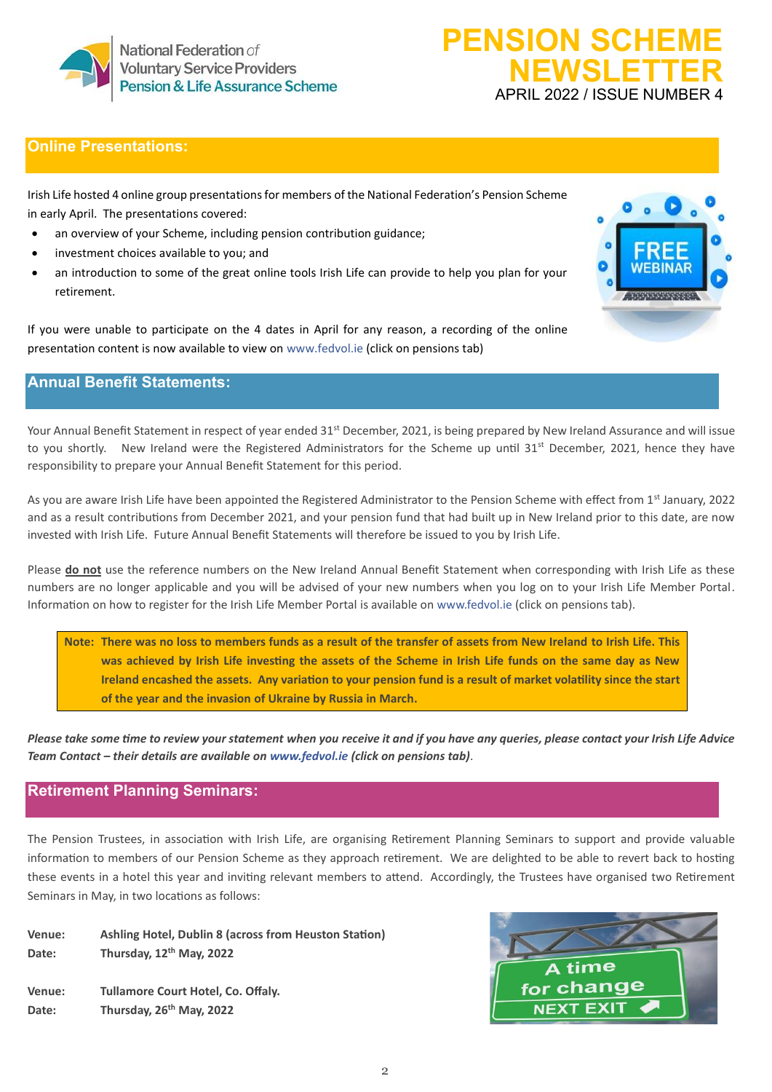

# **Online Presentations:**

Irish Life hosted 4 online group presentations for members of the National Federation's Pension Scheme in early April. The presentations covered:

- an overview of your Scheme, including pension contribution guidance;
- investment choices available to you; and
- an introduction to some of the great online tools Irish Life can provide to help you plan for your retirement.

If you were unable to participate on the 4 dates in April for any reason, a recording of the online presentation content is now available to view on [www.fedvol.ie](http://www.fedvol.ie/) (click on pensions tab)

# **Annual Benefit Statements:**

Your Annual Benefit Statement in respect of year ended 31<sup>st</sup> December, 2021, is being prepared by New Ireland Assurance and will issue to you shortly. New Ireland were the Registered Administrators for the Scheme up until 31<sup>st</sup> December, 2021, hence they have responsibility to prepare your Annual Benefit Statement for this period.

As you are aware Irish Life have been appointed the Registered Administrator to the Pension Scheme with effect from 1st January, 2022 and as a result contributions from December 2021, and your pension fund that had built up in New Ireland prior to this date, are now invested with Irish Life. Future Annual Benefit Statements will therefore be issued to you by Irish Life.

Please **do not** use the reference numbers on the New Ireland Annual Benefit Statement when corresponding with Irish Life as these numbers are no longer applicable and you will be advised of your new numbers when you log on to your Irish Life Member Portal. Information on how to register for the Irish Life Member Portal is available on [www.fedvol.ie](http://www.fedvol.ie/) (click on pensions tab).

**Note: There was no loss to members funds as a result of the transfer of assets from New Ireland to Irish Life. This was achieved by Irish Life investing the assets of the Scheme in Irish Life funds on the same day as New Ireland encashed the assets. Any variation to your pension fund is a result of market volatility since the start of the year and the invasion of Ukraine by Russia in March.** 

*Please take some time to review your statement when you receive it and if you have any queries, please contact your Irish Life Advice Team Contact – their details are available on [www.fedvol.ie](http://www.fedvol.ie/) (click on pensions tab)*.

# **Retirement Planning Seminars:**

The Pension Trustees, in association with Irish Life, are organising Retirement Planning Seminars to support and provide valuable information to members of our Pension Scheme as they approach retirement. We are delighted to be able to revert back to hosting these events in a hotel this year and inviting relevant members to attend. Accordingly, the Trustees have organised two Retirement Seminars in May, in two locations as follows:

**Venue: Ashling Hotel, Dublin 8 (across from Heuston Station) Date: Thursday, 12th May, 2022 Venue: Tullamore Court Hotel, Co. Offaly. Date: Thursday, 26th May, 2022**



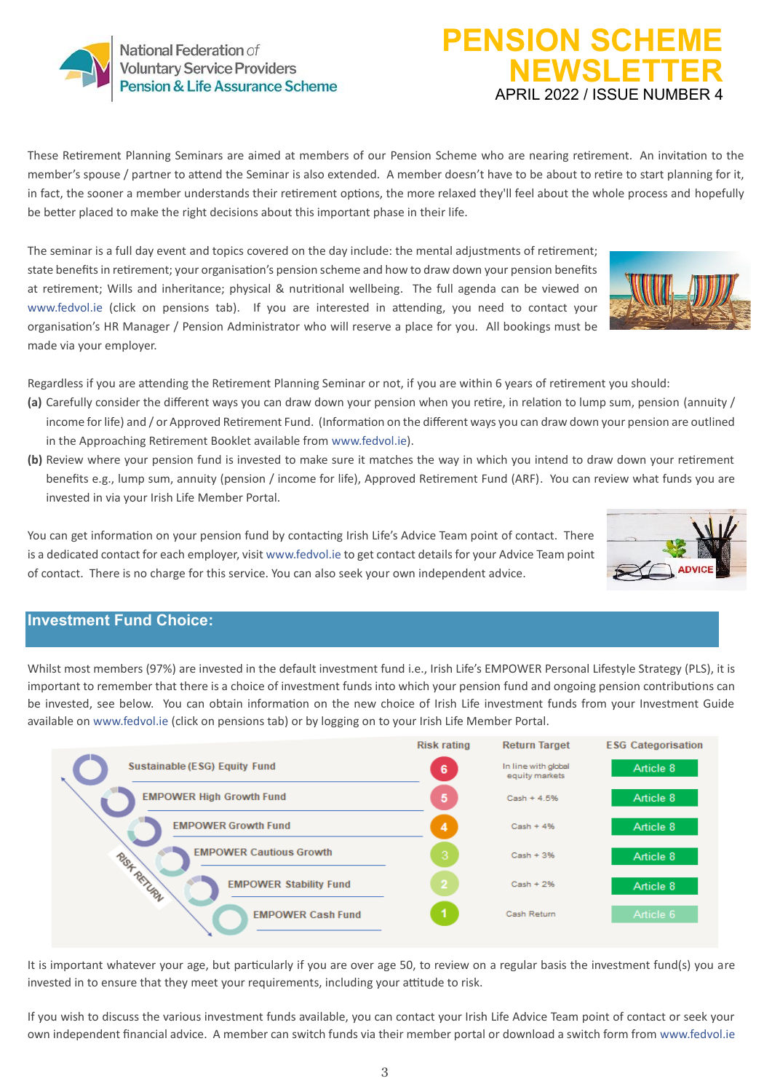# National Federation of **Voluntary Service Providers** Pension & Life Assurance Scheme

# These Retirement Planning Seminars are aimed at members of our Pension Scheme who are nearing retirement. An invitation to the member's spouse / partner to attend the Seminar is also extended. A member doesn't have to be about to retire to start planning for it, in fact, the sooner a member understands their retirement options, the more relaxed they'll feel about the whole process and hopefully be better placed to make the right decisions about this important phase in their life.

The seminar is a full day event and topics covered on the day include: the mental adjustments of retirement; state benefits in retirement; your organisation's pension scheme and how to draw down your pension benefits at retirement; Wills and inheritance; physical & nutritional wellbeing. The full agenda can be viewed on [www.fedvol.ie](http://www.fedvol.ie/) (click on pensions tab). If you are interested in attending, you need to contact your organisation's HR Manager / Pension Administrator who will reserve a place for you. All bookings must be made via your employer.

Regardless if you are attending the Retirement Planning Seminar or not, if you are within 6 years of retirement you should:

- **(a)** Carefully consider the different ways you can draw down your pension when you retire, in relation to lump sum, pension (annuity / income for life) and / or Approved Retirement Fund. (Information on the different ways you can draw down your pension are outlined in the Approaching Retirement Booklet available from [www.fedvol.ie\)](http://www.fedvol.ie/).
- **(b)** Review where your pension fund is invested to make sure it matches the way in which you intend to draw down your retirement benefits e.g., lump sum, annuity (pension / income for life), Approved Retirement Fund (ARF). You can review what funds you are invested in via your Irish Life Member Portal.

You can get information on your pension fund by contacting Irish Life's Advice Team point of contact. There is a dedicated contact for each employer, visi[t www.fedvol.ie](http://www.fedvol.ie/) to get contact details for your Advice Team point of contact. There is no charge for this service. You can also seek your own independent advice.

# **Investment Fund Choice:**

Whilst most members (97%) are invested in the default investment fund i.e., Irish Life's EMPOWER Personal Lifestyle Strategy (PLS), it is important to remember that there is a choice of investment funds into which your pension fund and ongoing pension contributions can be invested, see below. You can obtain information on the new choice of Irish Life investment funds from your Investment Guide available on www.fedvol.ie (click on pensions tab) or by logging on to your Irish Life Member Portal.



If you wish to discuss the various investment funds available, you can contact your Irish Life Advice Team point of contact or seek your own independent financial advice. A member can switch funds via their member portal or download a switch form from [www.fedvol.ie](http://www.fedvol.ie/)







**PENSION SCHEME** 

**NEWSLETTER** APRIL 2022 / ISSUE NUMBER 4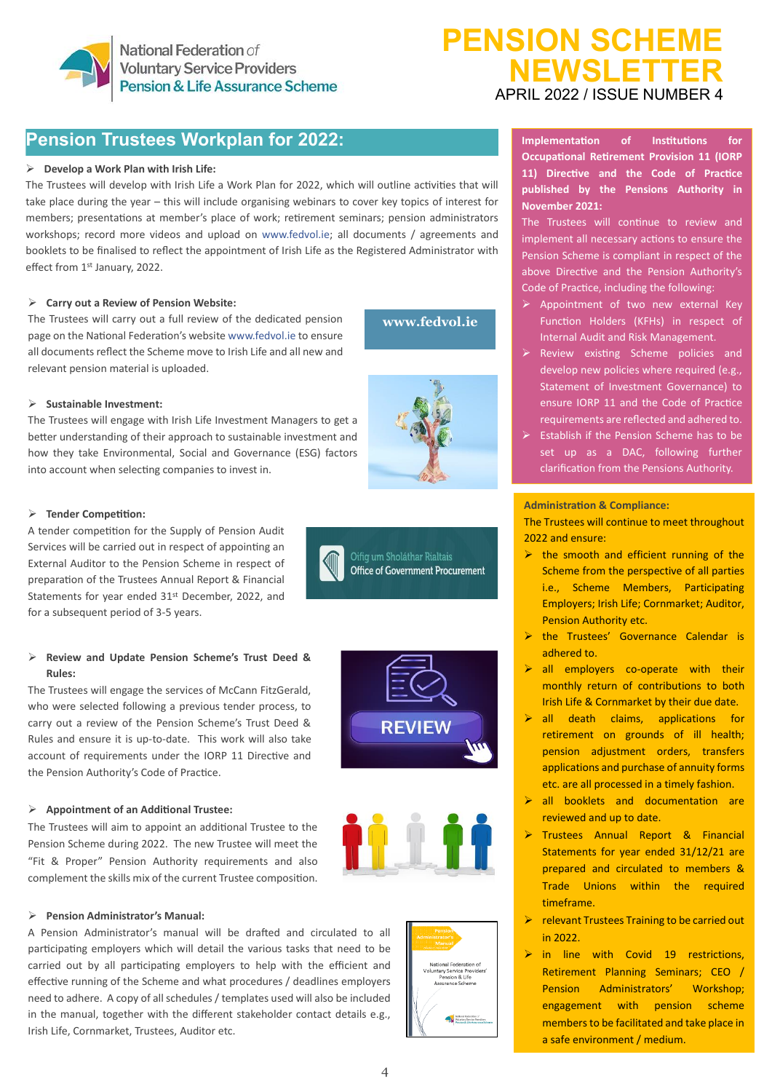

# **Pension Trustees Workplan for 2022: Consideration of the Industry of Amplem**

## ➢ **Develop a Work Plan with Irish Life:**

The Trustees will develop with Irish Life a Work Plan for 2022, which will outline activities that will take place during the year – this will include organising webinars to cover key topics of interest for members; presentations at member's place of work; retirement seminars; pension administrators workshops; record more videos and upload on [www.fedvol.ie;](http://www.fedvol.ie/) all documents / agreements and booklets to be finalised to reflect the appointment of Irish Life as the Registered Administrator with effect from 1st January, 2022.

## ➢ **Carry out a Review of Pension Website:**

The Trustees will carry out a full review of the dedicated pension page on the National Federation's websit[e www.fedvol.ie](http://www.fedvol.ie/) to ensure all documents reflect the Scheme move to Irish Life and all new and relevant pension material is uploaded.

**[www.fedvol.ie](http://www.fedvol.ie/)**

### ➢ **Sustainable Investment:**

The Trustees will engage with Irish Life Investment Managers to get a better understanding of their approach to sustainable investment and how they take Environmental, Social and Governance (ESG) factors into account when selecting companies to invest in.

#### ➢ **Tender Competition:**

A tender competition for the Supply of Pension Audit Services will be carried out in respect of appointing an External Auditor to the Pension Scheme in respect of preparation of the Trustees Annual Report & Financial Statements for year ended 31st December, 2022, and for a subsequent period of 3-5 years.

## ➢ **Review and Update Pension Scheme's Trust Deed & Rules:**

The Trustees will engage the services of McCann FitzGerald, who were selected following a previous tender process, to carry out a review of the Pension Scheme's Trust Deed & Rules and ensure it is up-to-date. This work will also take account of requirements under the IORP 11 Directive and the Pension Authority's Code of Practice.

# **REVIEW**

Oifig um Sholáthar Rialtais **Office of Government Procurement** 

#### ➢ **Appointment of an Additional Trustee:**

The Trustees will aim to appoint an additional Trustee to the Pension Scheme during 2022. The new Trustee will meet the "Fit & Proper" Pension Authority requirements and also complement the skills mix of the current Trustee composition.

## ➢ **Pension Administrator's Manual:**

A Pension Administrator's manual will be drafted and circulated to all participating employers which will detail the various tasks that need to be carried out by all participating employers to help with the efficient and effective running of the Scheme and what procedures / deadlines employers need to adhere. A copy of all schedules / templates used will also be included in the manual, together with the different stakeholder contact details e.g., Irish Life, Cornmarket, Trustees, Auditor etc.



**Implementation of Institutions for Occupational Retirement Provision 11 (IORP 11) Directive and the Code of Practice published by the Pensions Authority in November 2021:**

The Trustees will continue to review and implement all necessary actions to ensure the Pension Scheme is compliant in respect of the above Directive and the Pension Authority's Code of Practice, including the following:

- Appointment of two new external Key Function Holders (KFHs) in respect of Internal Audit and Risk Management.
- ➢ Review existing Scheme policies and develop new policies where required (e.g., Statement of Investment Governance) to ensure IORP 11 and the Code of Practice requirements are reflected and adhered to.
- ➢ Establish if the Pension Scheme has to be set up as a DAC, following further clarification from the Pensions Authority.

#### **Administration & Compliance:**

The Trustees will continue to meet throughout 2022 and ensure:

- $\triangleright$  the smooth and efficient running of the Scheme from the perspective of all parties i.e., Scheme Members, Participating Employers; Irish Life; Cornmarket; Auditor, Pension Authority etc.
- ➢ the Trustees' Governance Calendar is adhered to.
- ➢ all employers co-operate with their monthly return of contributions to both Irish Life & Cornmarket by their due date.
- $\triangleright$  all death claims, applications for retirement on grounds of ill health; pension adjustment orders, transfers applications and purchase of annuity forms etc. are all processed in a timely fashion.
- ➢ all booklets and documentation are reviewed and up to date.
- ➢ Trustees Annual Report & Financial Statements for year ended 31/12/21 are prepared and circulated to members & Trade Unions within the required timeframe.
- ➢ relevant Trustees Training to be carried out in 2022.
- ➢ in line with Covid 19 restrictions, Retirement Planning Seminars; CEO / Pension Administrators' Workshop; engagement with pension scheme members to be facilitated and take place in a safe environment / medium.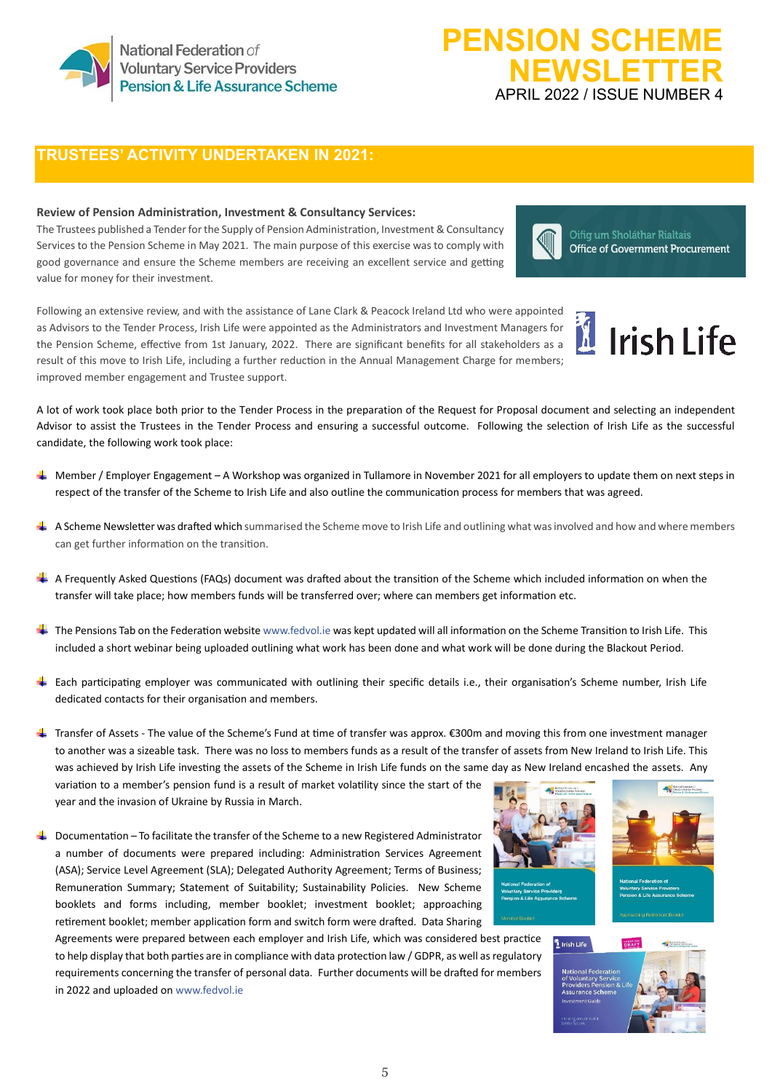

# **TRUSTEES' ACTIVITY UNDERTAKEN IN 2021:**

## **Review of Pension Administration, Investment & Consultancy Services:**

The Trustees published a Tender for the Supply of Pension Administration, Investment & Consultancy Services to the Pension Scheme in May 2021. The main purpose of this exercise was to comply with good governance and ensure the Scheme members are receiving an excellent service and getting value for money for their investment.

Following an extensive review, and with the assistance of Lane Clark & Peacock Ireland Ltd who were appointed as Advisors to the Tender Process, Irish Life were appointed as the Administrators and Investment Managers for the Pension Scheme, effective from 1st January, 2022. There are significant benefits for all stakeholders as a result of this move to Irish Life, including a further reduction in the Annual Management Charge for members; improved member engagement and Trustee support.



Oifig um Sholáthar Rialtais **Office of Government Procurement** 

A lot of work took place both prior to the Tender Process in the preparation of the Request for Proposal document and selecting an independent Advisor to assist the Trustees in the Tender Process and ensuring a successful outcome. Following the selection of Irish Life as the successful candidate, the following work took place:

- Member / Employer Engagement A Workshop was organized in Tullamore in November 2021 for all employers to update them on next steps in respect of the transfer of the Scheme to Irish Life and also outline the communication process for members that was agreed.
- A Scheme Newsletter was drafted which summarised the Scheme move to Irish Life and outlining what was involved and how and where members can get further information on the transition.
- A Frequently Asked Questions (FAQs) document was drafted about the transition of the Scheme which included information on when the transfer will take place; how members funds will be transferred over; where can members get information etc.
- The Pensions Tab on the Federation websit[e www.fedvol.ie](http://www.fedvol.ie/) was kept updated will all information on the Scheme Transition to Irish Life. This included a short webinar being uploaded outlining what work has been done and what work will be done during the Blackout Period.
- Each participating employer was communicated with outlining their specific details i.e., their organisation's Scheme number, Irish Life dedicated contacts for their organisation and members.

Transfer of Assets - The value of the Scheme's Fund at time of transfer was approx. €300m and moving this from one investment manager to another was a sizeable task. There was no loss to members funds as a result of the transfer of assets from New Ireland to Irish Life. This was achieved by Irish Life investing the assets of the Scheme in Irish Life funds on the same day as New Ireland encashed the assets. Any

variation to a member's pension fund is a result of market volatility since the start of the year and the invasion of Ukraine by Russia in March.

 $\ddot{\phantom{1}}$  Documentation – To facilitate the transfer of the Scheme to a new Registered Administrator a number of documents were prepared including: Administration Services Agreement (ASA); Service Level Agreement (SLA); Delegated Authority Agreement; Terms of Business; Remuneration Summary; Statement of Suitability; Sustainability Policies. New Scheme booklets and forms including, member booklet; investment booklet; approaching retirement booklet; member application form and switch form were drafted. Data Sharing

Agreements were prepared between each employer and Irish Life, which was considered best practice to help display that both parties are in compliance with data protection law / GDPR, as well as regulatory requirements concerning the transfer of personal data. Further documents will be drafted for members in 2022 and uploaded o[n www.fedvol.ie](http://www.fedvol.ie/)









5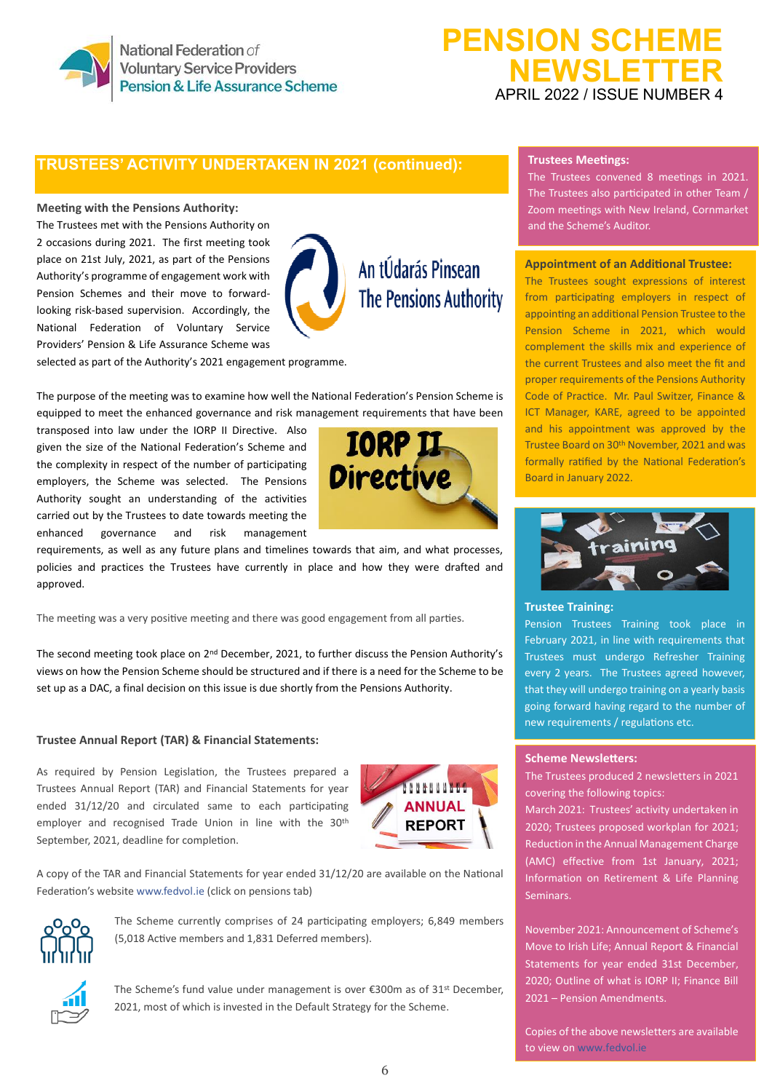

National Federation of **Voluntary Service Providers** Pension & Life Assurance Scheme

# **PENSION SCHEME NEWSLETTER** APRIL 2022 / ISSUE NUMBER 4

# **TRUSTEES' ACTIVITY UNDERTAKEN IN 2021 (continued):**

#### **Meeting with the Pensions Authority:**

The Trustees met with the Pensions Authority on 2 occasions during 2021. The first meeting took place on 21st July, 2021, as part of the Pensions Authority's programme of engagement work with Pension Schemes and their move to forwardlooking risk-based supervision. Accordingly, the National Federation of Voluntary Service Providers' Pension & Life Assurance Scheme was



selected as part of the Authority's 2021 engagement programme.

The purpose of the meeting was to examine how well the National Federation's Pension Scheme is equipped to meet the enhanced governance and risk management requirements that have been

transposed into law under the IORP II Directive. Also given the size of the National Federation's Scheme and the complexity in respect of the number of participating employers, the Scheme was selected. The Pensions Authority sought an understanding of the activities carried out by the Trustees to date towards meeting the enhanced governance and risk management



requirements, as well as any future plans and timelines towards that aim, and what processes, policies and practices the Trustees have currently in place and how they were drafted and approved.

The meeting was a very positive meeting and there was good engagement from all parties.

The second meeting took place on 2nd December, 2021, to further discuss the Pension Authority's views on how the Pension Scheme should be structured and if there is a need for the Scheme to be set up as a DAC, a final decision on this issue is due shortly from the Pensions Authority.

#### **Trustee Annual Report (TAR) & Financial Statements:**

As required by Pension Legislation, the Trustees prepared a Trustees Annual Report (TAR) and Financial Statements for year ended 31/12/20 and circulated same to each participating employer and recognised Trade Union in line with the 30th September, 2021, deadline for completion.



A copy of the TAR and Financial Statements for year ended 31/12/20 are available on the National Federation's websit[e www.fedvol.ie](http://www.fedvol.ie/) (click on pensions tab)



The Scheme currently comprises of 24 participating employers; 6,849 members (5,018 Active members and 1,831 Deferred members).



The Scheme's fund value under management is over €300m as of 31st December, 2021, most of which is invested in the Default Strategy for the Scheme.

#### **Trustees Meetings:**

The Trustees convened 8 meetings in 2021. The Trustees also participated in other Team / Zoom meetings with New Ireland, Cornmarket and the Scheme's Auditor.

#### **Appointment of an Additional Trustee:**

The Trustees sought expressions of interest from participating employers in respect of appointing an additional Pension Trustee to the Pension Scheme in 2021, which would complement the skills mix and experience of the current Trustees and also meet the fit and proper requirements of the Pensions Authority Code of Practice. Mr. Paul Switzer, Finance & ICT Manager, KARE, agreed to be appointed and his appointment was approved by the Trustee Board on 30th November, 2021 and was formally ratified by the National Federation's Board in January 2022.



#### **Trustee Training:**

Pension Trustees Training took place in February 2021, in line with requirements that Trustees must undergo Refresher Training every 2 years. The Trustees agreed however, that they will undergo training on a yearly basis going forward having regard to the number of new requirements / regulations etc.

## **Scheme Newsletters:**

The Trustees produced 2 newsletters in 2021 covering the following topics:

March 2021: Trustees' activity undertaken in 2020; Trustees proposed workplan for 2021; Reduction in the Annual Management Charge (AMC) effective from 1st January, 2021; Information on Retirement & Life Planning Seminars.

November 2021: Announcement of Scheme's Move to Irish Life; Annual Report & Financial Statements for year ended 31st December, 2020; Outline of what is IORP II; Finance Bill 2021 – Pension Amendments.

Copies of the above newsletters are available to view o[n www.fedvol.ie](http://www.fedvol.ie/)